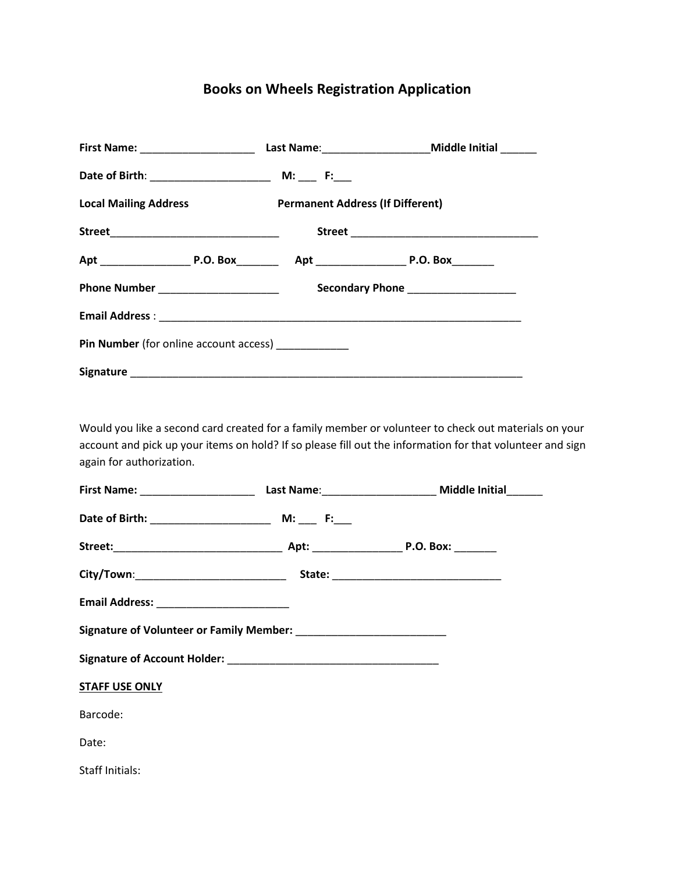## **Books on Wheels Registration Application**

| First Name: _______________________           |                                         |                                     |  |  |
|-----------------------------------------------|-----------------------------------------|-------------------------------------|--|--|
|                                               |                                         |                                     |  |  |
| <b>Local Mailing Address</b>                  | <b>Permanent Address (If Different)</b> |                                     |  |  |
|                                               |                                         |                                     |  |  |
|                                               |                                         |                                     |  |  |
|                                               |                                         | Secondary Phone ___________________ |  |  |
|                                               |                                         |                                     |  |  |
| <b>Pin Number</b> (for online account access) |                                         |                                     |  |  |
|                                               |                                         |                                     |  |  |

Would you like a second card created for a family member or volunteer to check out materials on your account and pick up your items on hold? If so please fill out the information for that volunteer and sign again for authorization.

| <b>STAFF USE ONLY</b> |  |  |  |  |
|-----------------------|--|--|--|--|
| Barcode:              |  |  |  |  |
| Date:                 |  |  |  |  |
| Staff Initials:       |  |  |  |  |
|                       |  |  |  |  |